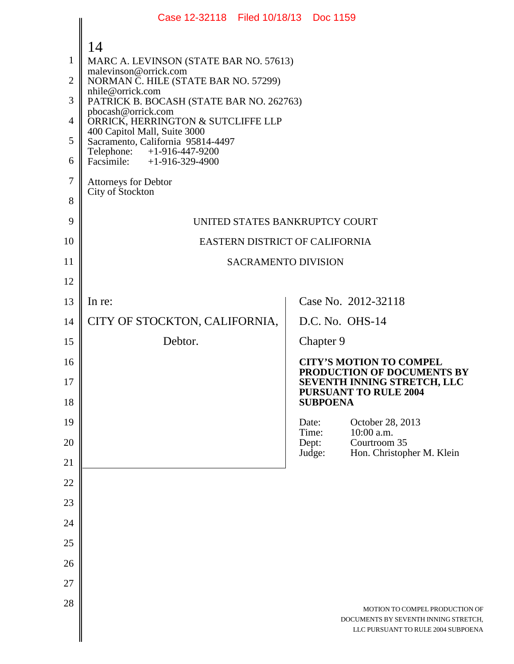|                                     | Case 12-32118 Filed 10/18/13 Doc 1159                                                                                                                                         |                 |                 |                                                                                                              |
|-------------------------------------|-------------------------------------------------------------------------------------------------------------------------------------------------------------------------------|-----------------|-----------------|--------------------------------------------------------------------------------------------------------------|
| $\mathbf{1}$<br>$\overline{2}$<br>3 | 14<br>MARC A. LEVINSON (STATE BAR NO. 57613)<br>malevinson@orrick.com<br>NORMAN C. HILE (STATE BAR NO. 57299)<br>nhile@orrick.com<br>PATRICK B. BOCASH (STATE BAR NO. 262763) |                 |                 |                                                                                                              |
| $\overline{4}$                      | pbocash@orrick.com<br>ORRICK, HERRINGTON & SUTCLIFFE LLP<br>400 Capitol Mall, Suite 3000                                                                                      |                 |                 |                                                                                                              |
| 5<br>6                              | Sacramento, California 95814-4497<br>Telephone: +1-916-447-9200<br>Facsimile: $+1-916-329-4900$                                                                               |                 |                 |                                                                                                              |
| 7<br>8                              | Attorneys for Debtor<br>City of Stockton                                                                                                                                      |                 |                 |                                                                                                              |
| 9                                   | UNITED STATES BANKRUPTCY COURT                                                                                                                                                |                 |                 |                                                                                                              |
| 10                                  | EASTERN DISTRICT OF CALIFORNIA                                                                                                                                                |                 |                 |                                                                                                              |
| 11                                  | <b>SACRAMENTO DIVISION</b>                                                                                                                                                    |                 |                 |                                                                                                              |
| 12                                  |                                                                                                                                                                               |                 |                 |                                                                                                              |
| 13                                  | In re:                                                                                                                                                                        |                 |                 | Case No. 2012-32118                                                                                          |
| 14                                  | CITY OF STOCKTON, CALIFORNIA,                                                                                                                                                 |                 |                 | D.C. No. OHS-14                                                                                              |
| 15                                  | Debtor.                                                                                                                                                                       |                 | Chapter 9       |                                                                                                              |
| 16<br>17                            |                                                                                                                                                                               |                 |                 | <b>CITY'S MOTION TO COMPEL</b><br><b>PRODUCTION OF DOCUMENTS BY</b><br><b>SEVENTH INNING STRETCH, LLC</b>    |
| 18                                  |                                                                                                                                                                               |                 | <b>SUBPOENA</b> | <b>PURSUANT TO RULE 2004</b>                                                                                 |
| 19                                  |                                                                                                                                                                               | Date:<br>Time:  |                 | October 28, 2013<br>10:00 a.m.                                                                               |
| 20                                  |                                                                                                                                                                               | Dept:<br>Judge: |                 | Courtroom 35<br>Hon. Christopher M. Klein                                                                    |
| 21                                  |                                                                                                                                                                               |                 |                 |                                                                                                              |
| 22                                  |                                                                                                                                                                               |                 |                 |                                                                                                              |
| 23                                  |                                                                                                                                                                               |                 |                 |                                                                                                              |
| 24                                  |                                                                                                                                                                               |                 |                 |                                                                                                              |
| 25                                  |                                                                                                                                                                               |                 |                 |                                                                                                              |
| 26<br>27                            |                                                                                                                                                                               |                 |                 |                                                                                                              |
| 28                                  |                                                                                                                                                                               |                 |                 |                                                                                                              |
|                                     |                                                                                                                                                                               |                 |                 | MOTION TO COMPEL PRODUCTION OF<br>DOCUMENTS BY SEVENTH INNING STRETCH,<br>LLC PURSUANT TO RULE 2004 SUBPOENA |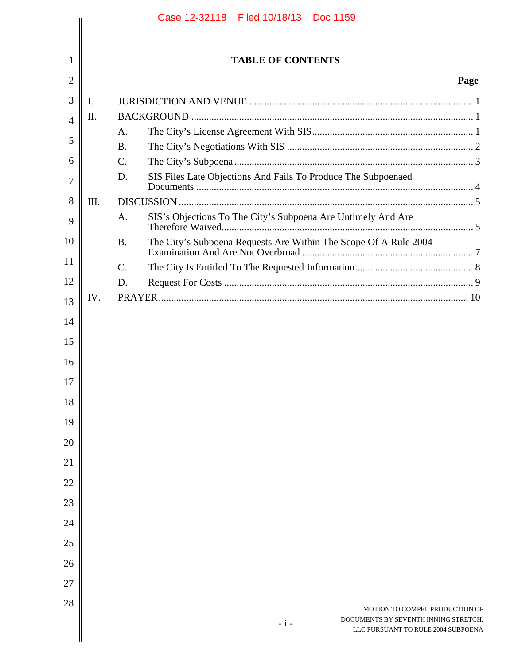|          |      | Case 12-32118 Filed 10/18/13 Doc 1159                                               |      |
|----------|------|-------------------------------------------------------------------------------------|------|
|          |      |                                                                                     |      |
| 1        |      | <b>TABLE OF CONTENTS</b>                                                            |      |
| 2        |      |                                                                                     | Page |
| 3        | I.   |                                                                                     |      |
| 4        | II.  |                                                                                     |      |
|          |      | A.                                                                                  |      |
| 5        |      | <b>B.</b>                                                                           |      |
| 6        |      | $\mathbf{C}$ .                                                                      |      |
| 7        |      | SIS Files Late Objections And Fails To Produce The Subpoenaed<br>D.                 |      |
| 8        | III. |                                                                                     |      |
| 9        |      | SIS's Objections To The City's Subpoena Are Untimely And Are<br>A.                  |      |
| 10       |      | The City's Subpoena Requests Are Within The Scope Of A Rule 2004<br><b>B.</b>       |      |
| 11       |      | $\mathcal{C}$ .                                                                     |      |
| 12       |      | D.                                                                                  |      |
| 13       | IV.  |                                                                                     |      |
| 14       |      |                                                                                     |      |
|          |      |                                                                                     |      |
| 15       |      |                                                                                     |      |
| 16       |      |                                                                                     |      |
| 17       |      |                                                                                     |      |
| 18<br>19 |      |                                                                                     |      |
| 20       |      |                                                                                     |      |
| 21       |      |                                                                                     |      |
| 22       |      |                                                                                     |      |
| 23       |      |                                                                                     |      |
| 24       |      |                                                                                     |      |
| 25       |      |                                                                                     |      |
| 26       |      |                                                                                     |      |
| 27       |      |                                                                                     |      |
| 28       |      | MOTION TO COMPEL PRODUCTION OF                                                      |      |
|          |      | DOCUMENTS BY SEVENTH INNING STRETCH,<br>$-i-$<br>LLC PURSUANT TO RULE 2004 SUBPOENA |      |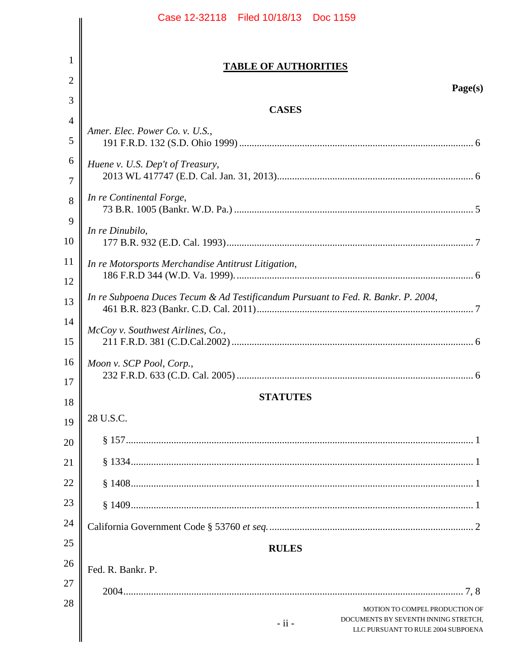|          | Case 12-32118 Filed 10/18/13 Doc 1159                                                 |
|----------|---------------------------------------------------------------------------------------|
|          |                                                                                       |
| 1        | <b>TABLE OF AUTHORITIES</b>                                                           |
| 2        | Page(s)                                                                               |
| 3        | <b>CASES</b>                                                                          |
| 4        | Amer. Elec. Power Co. v. U.S.,                                                        |
| 5        |                                                                                       |
| 6        | Huene v. U.S. Dep't of Treasury,                                                      |
| 7        |                                                                                       |
| 8        | In re Continental Forge,                                                              |
| 9        | In re Dinubilo,                                                                       |
| 10       |                                                                                       |
| 11<br>12 | In re Motorsports Merchandise Antitrust Litigation,                                   |
| 13       | In re Subpoena Duces Tecum & Ad Testificandum Pursuant to Fed. R. Bankr. P. 2004,     |
| 14       |                                                                                       |
| 15       | McCoy v. Southwest Airlines, Co.,                                                     |
| 16       | Moon v. SCP Pool, Corp.,                                                              |
| 17       |                                                                                       |
| 18       | <b>STATUTES</b>                                                                       |
| 19       | 28 U.S.C.                                                                             |
| 20       |                                                                                       |
| 21       |                                                                                       |
| 22       |                                                                                       |
| 23       |                                                                                       |
| 24       |                                                                                       |
| 25       | <b>RULES</b>                                                                          |
| 26       | Fed. R. Bankr. P.                                                                     |
| 27       |                                                                                       |
| 28       | MOTION TO COMPEL PRODUCTION OF                                                        |
|          | DOCUMENTS BY SEVENTH INNING STRETCH,<br>$-ii -$<br>LLC PURSUANT TO RULE 2004 SUBPOENA |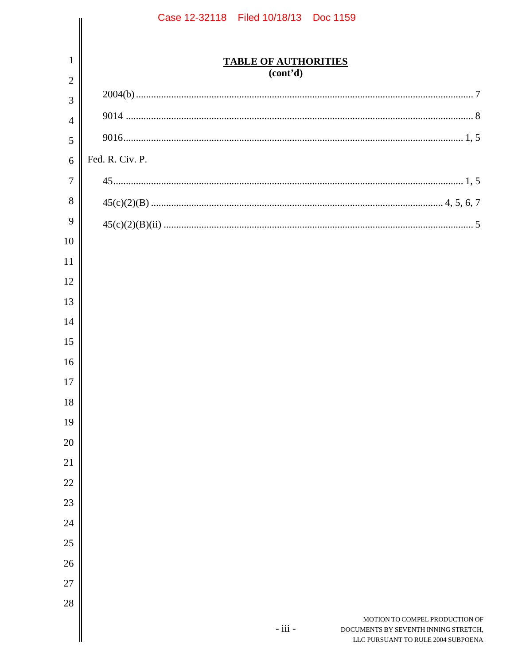|                | Case 12-32118 Filed 10/18/13 Doc 1159                                                                                       |
|----------------|-----------------------------------------------------------------------------------------------------------------------------|
|                |                                                                                                                             |
| $\mathbf{1}$   | <b>TABLE OF AUTHORITIES</b>                                                                                                 |
| $\overline{2}$ | (cont'd)                                                                                                                    |
| 3              |                                                                                                                             |
| $\overline{4}$ |                                                                                                                             |
| 5              |                                                                                                                             |
| 6              | Fed. R. Civ. P.                                                                                                             |
| $\tau$         |                                                                                                                             |
| 8              |                                                                                                                             |
| 9              |                                                                                                                             |
| 10             |                                                                                                                             |
| 11             |                                                                                                                             |
| 12             |                                                                                                                             |
| 13             |                                                                                                                             |
| 14             |                                                                                                                             |
| 15             |                                                                                                                             |
| 16             |                                                                                                                             |
| 17             |                                                                                                                             |
| 18             |                                                                                                                             |
| 19             |                                                                                                                             |
| 20             |                                                                                                                             |
| 21             |                                                                                                                             |
| 22             |                                                                                                                             |
| 23             |                                                                                                                             |
| 24             |                                                                                                                             |
| 25             |                                                                                                                             |
| 26             |                                                                                                                             |
| 27             |                                                                                                                             |
| 28             |                                                                                                                             |
|                | MOTION TO COMPEL PRODUCTION OF<br>$-$ iii $-$<br>DOCUMENTS BY SEVENTH INNING STRETCH,<br>LLC PURSUANT TO RULE 2004 SUBPOENA |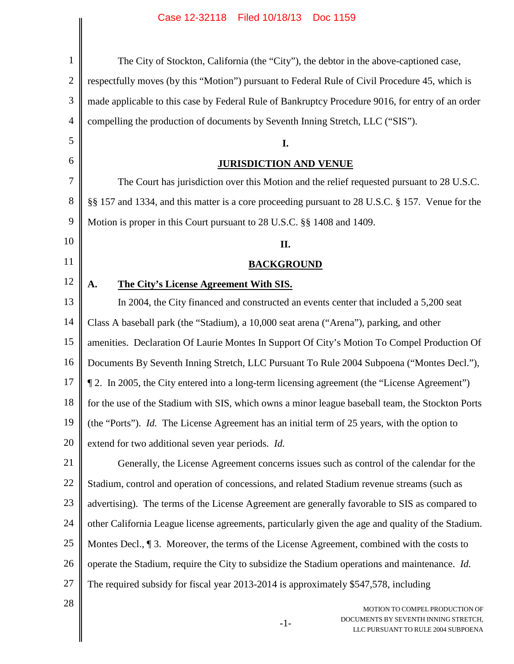| $\mathbf{1}$   | The City of Stockton, California (the "City"), the debtor in the above-captioned case,                                |
|----------------|-----------------------------------------------------------------------------------------------------------------------|
| $\overline{2}$ | respectfully moves (by this "Motion") pursuant to Federal Rule of Civil Procedure 45, which is                        |
| 3              | made applicable to this case by Federal Rule of Bankruptcy Procedure 9016, for entry of an order                      |
| $\overline{4}$ | compelling the production of documents by Seventh Inning Stretch, LLC ("SIS").                                        |
| 5              | I.                                                                                                                    |
| 6              | <b>JURISDICTION AND VENUE</b>                                                                                         |
| 7              | The Court has jurisdiction over this Motion and the relief requested pursuant to 28 U.S.C.                            |
| 8              | §§ 157 and 1334, and this matter is a core proceeding pursuant to 28 U.S.C. § 157. Venue for the                      |
| 9              | Motion is proper in this Court pursuant to 28 U.S.C. §§ 1408 and 1409.                                                |
| 10             | II.                                                                                                                   |
| 11             | <b>BACKGROUND</b>                                                                                                     |
| 12             | The City's License Agreement With SIS.<br>A.                                                                          |
| 13             | In 2004, the City financed and constructed an events center that included a 5,200 seat                                |
| 14             | Class A baseball park (the "Stadium), a 10,000 seat arena ("Arena"), parking, and other                               |
| 15             | amenities. Declaration Of Laurie Montes In Support Of City's Motion To Compel Production Of                           |
| 16             | Documents By Seventh Inning Stretch, LLC Pursuant To Rule 2004 Subpoena ("Montes Decl."),                             |
| 17             | 1. In 2005, the City entered into a long-term licensing agreement (the "License Agreement")                           |
| 18             | for the use of the Stadium with SIS, which owns a minor league baseball team, the Stockton Ports                      |
| 19             | (the "Ports"). Id. The License Agreement has an initial term of 25 years, with the option to                          |
| 20             | extend for two additional seven year periods. Id.                                                                     |
| 21             | Generally, the License Agreement concerns issues such as control of the calendar for the                              |
| 22             | Stadium, control and operation of concessions, and related Stadium revenue streams (such as                           |
| 23             | advertising). The terms of the License Agreement are generally favorable to SIS as compared to                        |
| 24             | other California League license agreements, particularly given the age and quality of the Stadium.                    |
| 25             | Montes Decl., 13. Moreover, the terms of the License Agreement, combined with the costs to                            |
| 26             | operate the Stadium, require the City to subsidize the Stadium operations and maintenance. Id.                        |
| 27             | The required subsidy for fiscal year 2013-2014 is approximately \$547,578, including                                  |
| 28             | MOTION TO COMPEL PRODUCTION OF<br>DOCUMENTS BY SEVENTH INNING STRETCH,<br>$-1-$<br>LLC PURSUANT TO RULE 2004 SUBPOENA |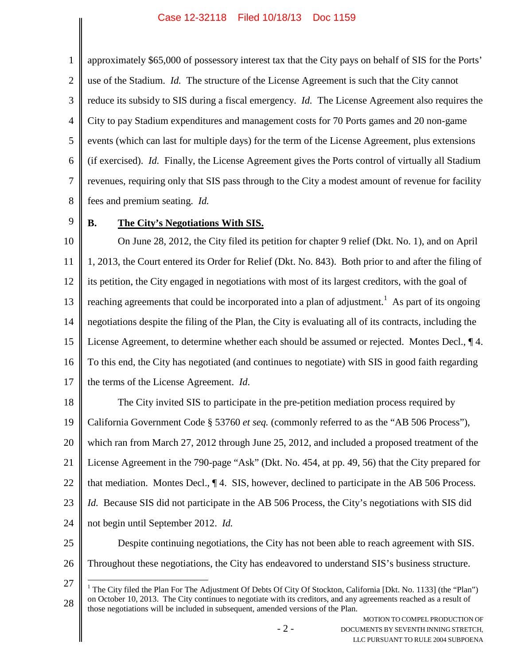1 2 3 4 5 6 7 8 approximately \$65,000 of possessory interest tax that the City pays on behalf of SIS for the Ports' use of the Stadium. *Id.* The structure of the License Agreement is such that the City cannot reduce its subsidy to SIS during a fiscal emergency. *Id.* The License Agreement also requires the City to pay Stadium expenditures and management costs for 70 Ports games and 20 non-game events (which can last for multiple days) for the term of the License Agreement, plus extensions (if exercised). *Id.* Finally, the License Agreement gives the Ports control of virtually all Stadium revenues, requiring only that SIS pass through to the City a modest amount of revenue for facility fees and premium seating. *Id.*

9

# **B. The City's Negotiations With SIS.**

10 11 12 13 14 15 16 17 On June 28, 2012, the City filed its petition for chapter 9 relief (Dkt. No. 1), and on April 1, 2013, the Court entered its Order for Relief (Dkt. No. 843). Both prior to and after the filing of its petition, the City engaged in negotiations with most of its largest creditors, with the goal of reaching agreements that could be incorporated into a plan of adjustment.<sup>1</sup> As part of its ongoing negotiations despite the filing of the Plan, the City is evaluating all of its contracts, including the License Agreement, to determine whether each should be assumed or rejected. Montes Decl., ¶ 4. To this end, the City has negotiated (and continues to negotiate) with SIS in good faith regarding the terms of the License Agreement. *Id*.

18 19 20 21 22 23 24 25 The City invited SIS to participate in the pre-petition mediation process required by California Government Code § 53760 *et seq.* (commonly referred to as the "AB 506 Process"), which ran from March 27, 2012 through June 25, 2012, and included a proposed treatment of the License Agreement in the 790-page "Ask" (Dkt. No. 454, at pp. 49, 56) that the City prepared for that mediation. Montes Decl., ¶ 4. SIS, however, declined to participate in the AB 506 Process. *Id.* Because SIS did not participate in the AB 506 Process, the City's negotiations with SIS did not begin until September 2012. *Id.* Despite continuing negotiations, the City has not been able to reach agreement with SIS.

26

Throughout these negotiations, the City has endeavored to understand SIS's business structure.

<sup>27</sup> 28 <sup>1</sup> The City filed the Plan For The Adjustment Of Debts Of City Of Stockton, California [Dkt. No. 1133] (the "Plan") on October 10, 2013. The City continues to negotiate with its creditors, and any agreements reached as a result of those negotiations will be included in subsequent, amended versions of the Plan.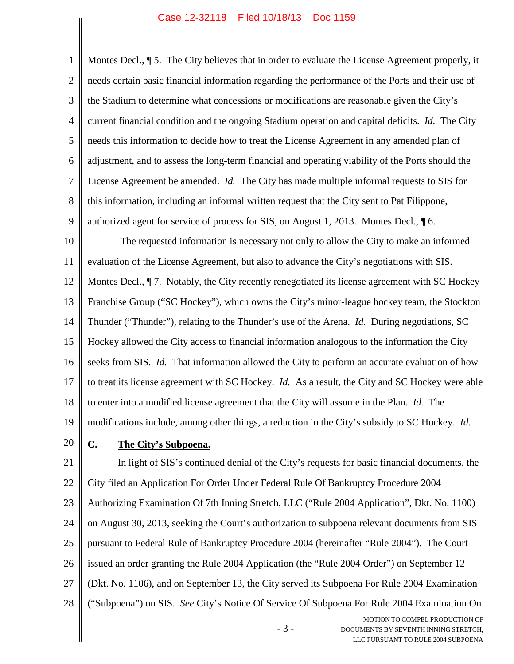1 2 3 4 5 6 7 8 9 10 11 12 13 14 15 16 17 18 19 20 21 22 23 24 25 Montes Decl.,  $\$\,5.$  The City believes that in order to evaluate the License Agreement properly, it needs certain basic financial information regarding the performance of the Ports and their use of the Stadium to determine what concessions or modifications are reasonable given the City's current financial condition and the ongoing Stadium operation and capital deficits. *Id.* The City needs this information to decide how to treat the License Agreement in any amended plan of adjustment, and to assess the long-term financial and operating viability of the Ports should the License Agreement be amended. *Id.* The City has made multiple informal requests to SIS for this information, including an informal written request that the City sent to Pat Filippone, authorized agent for service of process for SIS, on August 1, 2013. Montes Decl., ¶ 6. The requested information is necessary not only to allow the City to make an informed evaluation of the License Agreement, but also to advance the City's negotiations with SIS. Montes Decl., ¶ 7. Notably, the City recently renegotiated its license agreement with SC Hockey Franchise Group ("SC Hockey"), which owns the City's minor-league hockey team, the Stockton Thunder ("Thunder"), relating to the Thunder's use of the Arena. *Id.* During negotiations, SC Hockey allowed the City access to financial information analogous to the information the City seeks from SIS. *Id.* That information allowed the City to perform an accurate evaluation of how to treat its license agreement with SC Hockey. *Id.* As a result, the City and SC Hockey were able to enter into a modified license agreement that the City will assume in the Plan. *Id.* The modifications include, among other things, a reduction in the City's subsidy to SC Hockey. *Id.* **C. The City's Subpoena.** In light of SIS's continued denial of the City's requests for basic financial documents, the City filed an Application For Order Under Federal Rule Of Bankruptcy Procedure 2004 Authorizing Examination Of 7th Inning Stretch, LLC ("Rule 2004 Application", Dkt. No. 1100) on August 30, 2013, seeking the Court's authorization to subpoena relevant documents from SIS pursuant to Federal Rule of Bankruptcy Procedure 2004 (hereinafter "Rule 2004"). The Court

26 issued an order granting the Rule 2004 Application (the "Rule 2004 Order") on September 12

27 (Dkt. No. 1106), and on September 13, the City served its Subpoena For Rule 2004 Examination

28 ("Subpoena") on SIS. *See* City's Notice Of Service Of Subpoena For Rule 2004 Examination On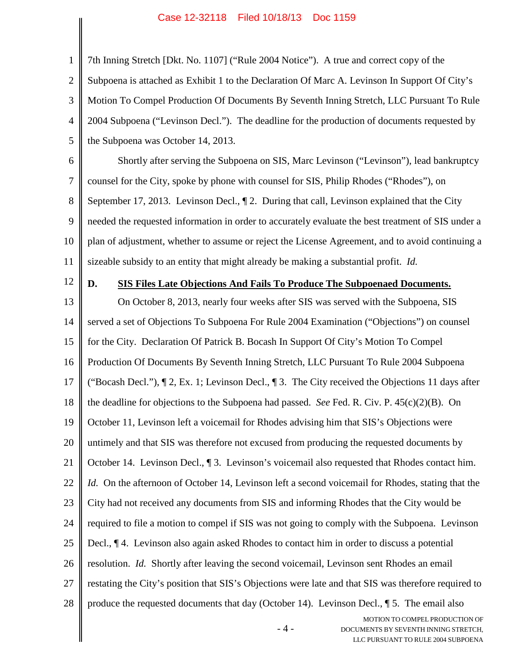1 2 3 4 5 7th Inning Stretch [Dkt. No. 1107] ("Rule 2004 Notice"). A true and correct copy of the Subpoena is attached as Exhibit 1 to the Declaration Of Marc A. Levinson In Support Of City's Motion To Compel Production Of Documents By Seventh Inning Stretch, LLC Pursuant To Rule 2004 Subpoena ("Levinson Decl."). The deadline for the production of documents requested by the Subpoena was October 14, 2013.

6 7 8 9 10 11 Shortly after serving the Subpoena on SIS, Marc Levinson ("Levinson"), lead bankruptcy counsel for the City, spoke by phone with counsel for SIS, Philip Rhodes ("Rhodes"), on September 17, 2013. Levinson Decl., ¶ 2. During that call, Levinson explained that the City needed the requested information in order to accurately evaluate the best treatment of SIS under a plan of adjustment, whether to assume or reject the License Agreement, and to avoid continuing a sizeable subsidy to an entity that might already be making a substantial profit. *Id.*

12

#### **D. SIS Files Late Objections And Fails To Produce The Subpoenaed Documents.**

MOTION TO COMPEL PRODUCTION OF 13 14 15 16 17 18 19 20 21 22 23 24 25 26 27 28 On October 8, 2013, nearly four weeks after SIS was served with the Subpoena, SIS served a set of Objections To Subpoena For Rule 2004 Examination ("Objections") on counsel for the City. Declaration Of Patrick B. Bocash In Support Of City's Motion To Compel Production Of Documents By Seventh Inning Stretch, LLC Pursuant To Rule 2004 Subpoena ("Bocash Decl."), ¶ 2, Ex. 1; Levinson Decl., ¶ 3. The City received the Objections 11 days after the deadline for objections to the Subpoena had passed. *See* Fed. R. Civ. P. 45(c)(2)(B). On October 11, Levinson left a voicemail for Rhodes advising him that SIS's Objections were untimely and that SIS was therefore not excused from producing the requested documents by October 14. Levinson Decl., ¶ 3. Levinson's voicemail also requested that Rhodes contact him. *Id.* On the afternoon of October 14, Levinson left a second voicemail for Rhodes, stating that the City had not received any documents from SIS and informing Rhodes that the City would be required to file a motion to compel if SIS was not going to comply with the Subpoena. Levinson Decl., ¶ 4. Levinson also again asked Rhodes to contact him in order to discuss a potential resolution. *Id.* Shortly after leaving the second voicemail, Levinson sent Rhodes an email restating the City's position that SIS's Objections were late and that SIS was therefore required to produce the requested documents that day (October 14). Levinson Decl., ¶ 5. The email also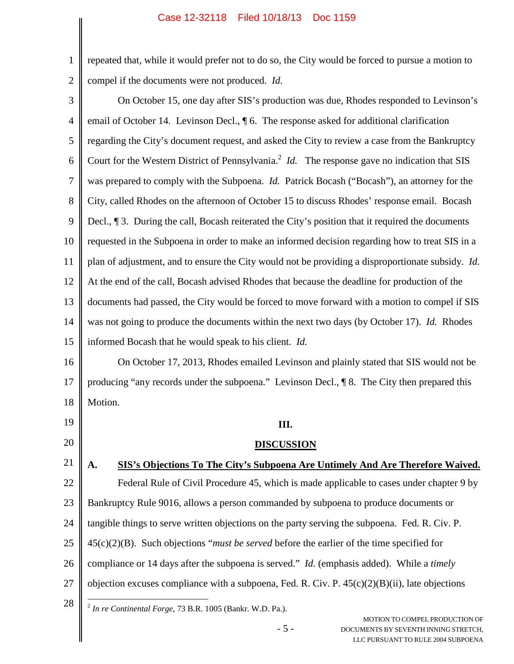1

2

repeated that, while it would prefer not to do so, the City would be forced to pursue a motion to compel if the documents were not produced. *Id.*

MOTION TO COMPEL PRODUCTION OF 3 4 5 6 7 8 9 10 11 12 13 14 15 16 17 18 19 20 21 22 23 24 25 26 27 28 On October 15, one day after SIS's production was due, Rhodes responded to Levinson's email of October 14. Levinson Decl., ¶ 6. The response asked for additional clarification regarding the City's document request, and asked the City to review a case from the Bankruptcy Court for the Western District of Pennsylvania.<sup>2</sup> *Id.* The response gave no indication that SIS was prepared to comply with the Subpoena. *Id.* Patrick Bocash ("Bocash"), an attorney for the City, called Rhodes on the afternoon of October 15 to discuss Rhodes' response email. Bocash Decl.,  $\lceil 3$ . During the call, Bocash reiterated the City's position that it required the documents requested in the Subpoena in order to make an informed decision regarding how to treat SIS in a plan of adjustment, and to ensure the City would not be providing a disproportionate subsidy. *Id.* At the end of the call, Bocash advised Rhodes that because the deadline for production of the documents had passed, the City would be forced to move forward with a motion to compel if SIS was not going to produce the documents within the next two days (by October 17). *Id.* Rhodes informed Bocash that he would speak to his client. *Id.* On October 17, 2013, Rhodes emailed Levinson and plainly stated that SIS would not be producing "any records under the subpoena." Levinson Decl., ¶ 8. The City then prepared this Motion. **III. DISCUSSION A. SIS's Objections To The City's Subpoena Are Untimely And Are Therefore Waived.** Federal Rule of Civil Procedure 45, which is made applicable to cases under chapter 9 by Bankruptcy Rule 9016, allows a person commanded by subpoena to produce documents or tangible things to serve written objections on the party serving the subpoena. Fed. R. Civ. P. 45(c)(2)(B). Such objections "*must be served* before the earlier of the time specified for compliance or 14 days after the subpoena is served." *Id.* (emphasis added). While a *timely* objection excuses compliance with a subpoena, Fed. R. Civ. P.  $45(c)(2)(B)(ii)$ , late objections 2 *In re Continental Forge*, 73 B.R. 1005 (Bankr. W.D. Pa.).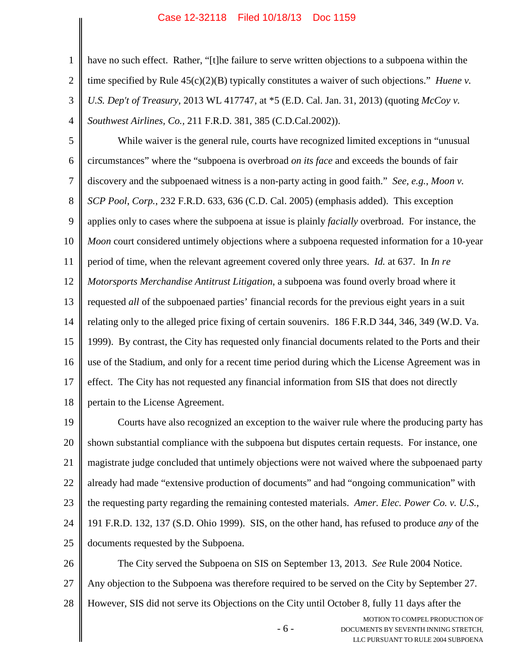1

2

3

4

have no such effect. Rather, "[t]he failure to serve written objections to a subpoena within the time specified by Rule 45(c)(2)(B) typically constitutes a waiver of such objections." *Huene v. U.S. Dep't of Treasury,* 2013 WL 417747, at \*5 (E.D. Cal. Jan. 31, 2013) (quoting *McCoy v. Southwest Airlines, Co.,* 211 F.R.D. 381, 385 (C.D.Cal.2002)).

5 6 7 8 9 10 11 12 13 14 15 16 17 18 While waiver is the general rule, courts have recognized limited exceptions in "unusual circumstances" where the "subpoena is overbroad *on its face* and exceeds the bounds of fair discovery and the subpoenaed witness is a non-party acting in good faith." *See, e.g.*, *Moon v. SCP Pool*, *Corp.*, 232 F.R.D. 633, 636 (C.D. Cal. 2005) (emphasis added). This exception applies only to cases where the subpoena at issue is plainly *facially* overbroad. For instance, the *Moon* court considered untimely objections where a subpoena requested information for a 10-year period of time, when the relevant agreement covered only three years. *Id.* at 637. In *In re Motorsports Merchandise Antitrust Litigation*, a subpoena was found overly broad where it requested *all* of the subpoenaed parties' financial records for the previous eight years in a suit relating only to the alleged price fixing of certain souvenirs. 186 F.R.D 344, 346, 349 (W.D. Va. 1999). By contrast, the City has requested only financial documents related to the Ports and their use of the Stadium, and only for a recent time period during which the License Agreement was in effect. The City has not requested any financial information from SIS that does not directly pertain to the License Agreement.

19 20 21 22 23 24 25 Courts have also recognized an exception to the waiver rule where the producing party has shown substantial compliance with the subpoena but disputes certain requests. For instance, one magistrate judge concluded that untimely objections were not waived where the subpoenaed party already had made "extensive production of documents" and had "ongoing communication" with the requesting party regarding the remaining contested materials. *Amer. Elec. Power Co. v. U.S.*, 191 F.R.D. 132, 137 (S.D. Ohio 1999). SIS, on the other hand, has refused to produce *any* of the documents requested by the Subpoena.

26 27 28 The City served the Subpoena on SIS on September 13, 2013. *See* Rule 2004 Notice. Any objection to the Subpoena was therefore required to be served on the City by September 27. However, SIS did not serve its Objections on the City until October 8, fully 11 days after the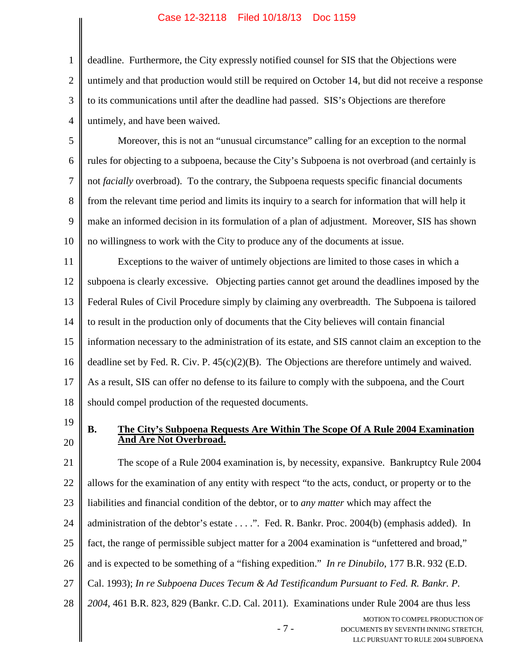2 3 4 deadline. Furthermore, the City expressly notified counsel for SIS that the Objections were untimely and that production would still be required on October 14, but did not receive a response to its communications until after the deadline had passed. SIS's Objections are therefore untimely, and have been waived.

5 6 7 8 9 10 Moreover, this is not an "unusual circumstance" calling for an exception to the normal rules for objecting to a subpoena, because the City's Subpoena is not overbroad (and certainly is not *facially* overbroad). To the contrary, the Subpoena requests specific financial documents from the relevant time period and limits its inquiry to a search for information that will help it make an informed decision in its formulation of a plan of adjustment. Moreover, SIS has shown no willingness to work with the City to produce any of the documents at issue.

11 12 13 14 15 16 17 18 Exceptions to the waiver of untimely objections are limited to those cases in which a subpoena is clearly excessive. Objecting parties cannot get around the deadlines imposed by the Federal Rules of Civil Procedure simply by claiming any overbreadth. The Subpoena is tailored to result in the production only of documents that the City believes will contain financial information necessary to the administration of its estate, and SIS cannot claim an exception to the deadline set by Fed. R. Civ. P. 45(c)(2)(B). The Objections are therefore untimely and waived. As a result, SIS can offer no defense to its failure to comply with the subpoena, and the Court should compel production of the requested documents.

19

20

1

### **B. The City's Subpoena Requests Are Within The Scope Of A Rule 2004 Examination And Are Not Overbroad.**

- 7 - MOTION TO COMPEL PRODUCTION OF 21 22 23 24 25 26 27 28 The scope of a Rule 2004 examination is, by necessity, expansive. Bankruptcy Rule 2004 allows for the examination of any entity with respect "to the acts, conduct, or property or to the liabilities and financial condition of the debtor, or to *any matter* which may affect the administration of the debtor's estate . . . .". Fed. R. Bankr. Proc. 2004(b) (emphasis added). In fact, the range of permissible subject matter for a 2004 examination is "unfettered and broad," and is expected to be something of a "fishing expedition." *In re Dinubilo*, 177 B.R. 932 (E.D. Cal. 1993); *In re Subpoena Duces Tecum & Ad Testificandum Pursuant to Fed. R. Bankr. P. 2004*, 461 B.R. 823, 829 (Bankr. C.D. Cal. 2011). Examinations under Rule 2004 are thus less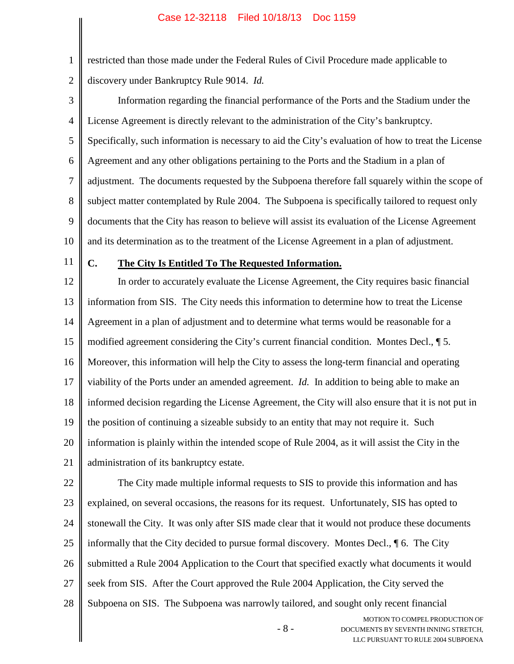restricted than those made under the Federal Rules of Civil Procedure made applicable to discovery under Bankruptcy Rule 9014. *Id.*

3 4 5 6 7 8 9 10 Information regarding the financial performance of the Ports and the Stadium under the License Agreement is directly relevant to the administration of the City's bankruptcy. Specifically, such information is necessary to aid the City's evaluation of how to treat the License Agreement and any other obligations pertaining to the Ports and the Stadium in a plan of adjustment. The documents requested by the Subpoena therefore fall squarely within the scope of subject matter contemplated by Rule 2004. The Subpoena is specifically tailored to request only documents that the City has reason to believe will assist its evaluation of the License Agreement and its determination as to the treatment of the License Agreement in a plan of adjustment.

11

1

2

## **C. The City Is Entitled To The Requested Information.**

12 13 14 15 16 17 18 19 20 21 In order to accurately evaluate the License Agreement, the City requires basic financial information from SIS. The City needs this information to determine how to treat the License Agreement in a plan of adjustment and to determine what terms would be reasonable for a modified agreement considering the City's current financial condition. Montes Decl., ¶ 5. Moreover, this information will help the City to assess the long-term financial and operating viability of the Ports under an amended agreement. *Id.* In addition to being able to make an informed decision regarding the License Agreement, the City will also ensure that it is not put in the position of continuing a sizeable subsidy to an entity that may not require it. Such information is plainly within the intended scope of Rule 2004, as it will assist the City in the administration of its bankruptcy estate.

22 23 24 25 26 27 28 The City made multiple informal requests to SIS to provide this information and has explained, on several occasions, the reasons for its request. Unfortunately, SIS has opted to stonewall the City. It was only after SIS made clear that it would not produce these documents informally that the City decided to pursue formal discovery. Montes Decl., ¶ 6. The City submitted a Rule 2004 Application to the Court that specified exactly what documents it would seek from SIS. After the Court approved the Rule 2004 Application, the City served the Subpoena on SIS. The Subpoena was narrowly tailored, and sought only recent financial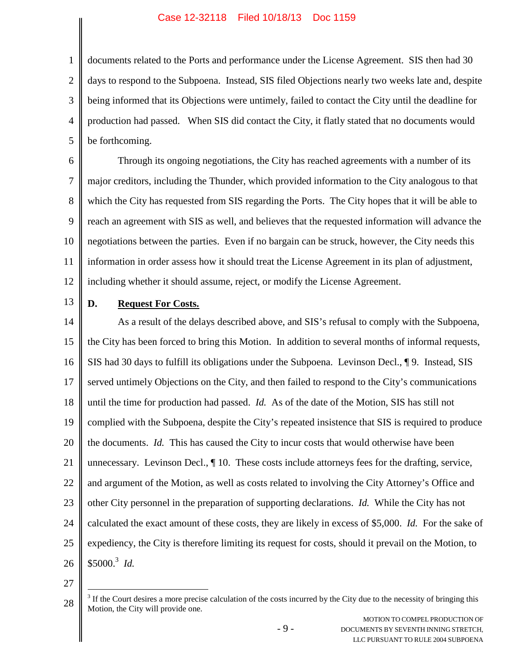1 2 3 4 5 documents related to the Ports and performance under the License Agreement. SIS then had 30 days to respond to the Subpoena. Instead, SIS filed Objections nearly two weeks late and, despite being informed that its Objections were untimely, failed to contact the City until the deadline for production had passed. When SIS did contact the City, it flatly stated that no documents would be forthcoming.

6 7 8 9 10 11 12 Through its ongoing negotiations, the City has reached agreements with a number of its major creditors, including the Thunder, which provided information to the City analogous to that which the City has requested from SIS regarding the Ports. The City hopes that it will be able to reach an agreement with SIS as well, and believes that the requested information will advance the negotiations between the parties. Even if no bargain can be struck, however, the City needs this information in order assess how it should treat the License Agreement in its plan of adjustment, including whether it should assume, reject, or modify the License Agreement.

13

## **D. Request For Costs.**

14 15 16 17 18 19 20 21 22 23 24 25 26 As a result of the delays described above, and SIS's refusal to comply with the Subpoena, the City has been forced to bring this Motion. In addition to several months of informal requests, SIS had 30 days to fulfill its obligations under the Subpoena. Levinson Decl., ¶ 9. Instead, SIS served untimely Objections on the City, and then failed to respond to the City's communications until the time for production had passed. *Id.* As of the date of the Motion, SIS has still not complied with the Subpoena, despite the City's repeated insistence that SIS is required to produce the documents. *Id.* This has caused the City to incur costs that would otherwise have been unnecessary. Levinson Decl., ¶ 10. These costs include attorneys fees for the drafting, service, and argument of the Motion, as well as costs related to involving the City Attorney's Office and other City personnel in the preparation of supporting declarations. *Id.* While the City has not calculated the exact amount of these costs, they are likely in excess of \$5,000. *Id.* For the sake of expediency, the City is therefore limiting its request for costs, should it prevail on the Motion, to \$5000.<sup>3</sup> *Id.*

27

<sup>28</sup>  $3$  If the Court desires a more precise calculation of the costs incurred by the City due to the necessity of bringing this Motion, the City will provide one.